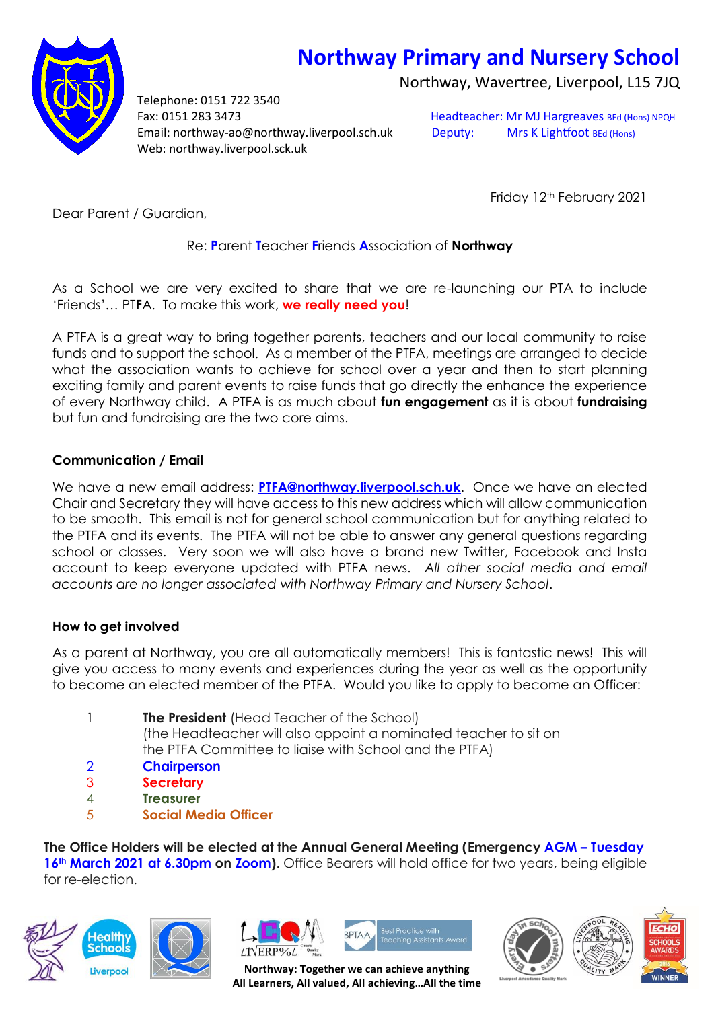# **Northway Primary and Nursery School**

Northway, Wavertree, Liverpool, L15 7JQ



Telephone: 0151 722 3540 Fax: 0151 283 3473 Headteacher: Mr MJ Hargreaves BEd (Hons) NPQH Email: northway-ao@northway.liverpool.sch.uk Deputy: Mrs K Lightfoot BEd (Hons) Web: northway.liverpool.sck.uk

Friday 12<sup>th</sup> February 2021

Dear Parent / Guardian,

# Re: **P**arent **T**eacher **F**riends **A**ssociation of **Northway**

As a School we are very excited to share that we are re-launching our PTA to include 'Friends'… PT**F**A. To make this work, **we really need you**!

A PTFA is a great way to bring together parents, teachers and our local community to raise funds and to support the school. As a member of the PTFA, meetings are arranged to decide what the association wants to achieve for school over a year and then to start planning exciting family and parent events to raise funds that go directly the enhance the experience of every Northway child. A PTFA is as much about **fun engagement** as it is about **fundraising** but fun and fundraising are the two core aims.

# **Communication / Email**

We have a new email address: **[PTFA@northway.liverpool.sch.uk](mailto:PTFA@northway.liverpool.sch.uk)**. Once we have an elected Chair and Secretary they will have access to this new address which will allow communication to be smooth. This email is not for general school communication but for anything related to the PTFA and its events. The PTFA will not be able to answer any general questions regarding school or classes. Very soon we will also have a brand new Twitter, Facebook and Insta account to keep everyone updated with PTFA news. *All other social media and email accounts are no longer associated with Northway Primary and Nursery School*.

# **How to get involved**

As a parent at Northway, you are all automatically members! This is fantastic news! This will give you access to many events and experiences during the year as well as the opportunity to become an elected member of the PTFA. Would you like to apply to become an Officer:

- 1 **The President** (Head Teacher of the School) (the Headteacher will also appoint a nominated teacher to sit on the PTFA Committee to liaise with School and the PTFA)
- 2 **Chairperson**
- 3 **Secretary**
- 4 **Treasurer**
- 5 **Social Media Officer**

**The Office Holders will be elected at the Annual General Meeting (Emergency AGM – Tuesday 16th March 2021 at 6.30pm on Zoom)**. Office Bearers will hold office for two years, being eligible for re-election.













**Northway: Together we can achieve anything All Learners, All valued, All achieving…All the time**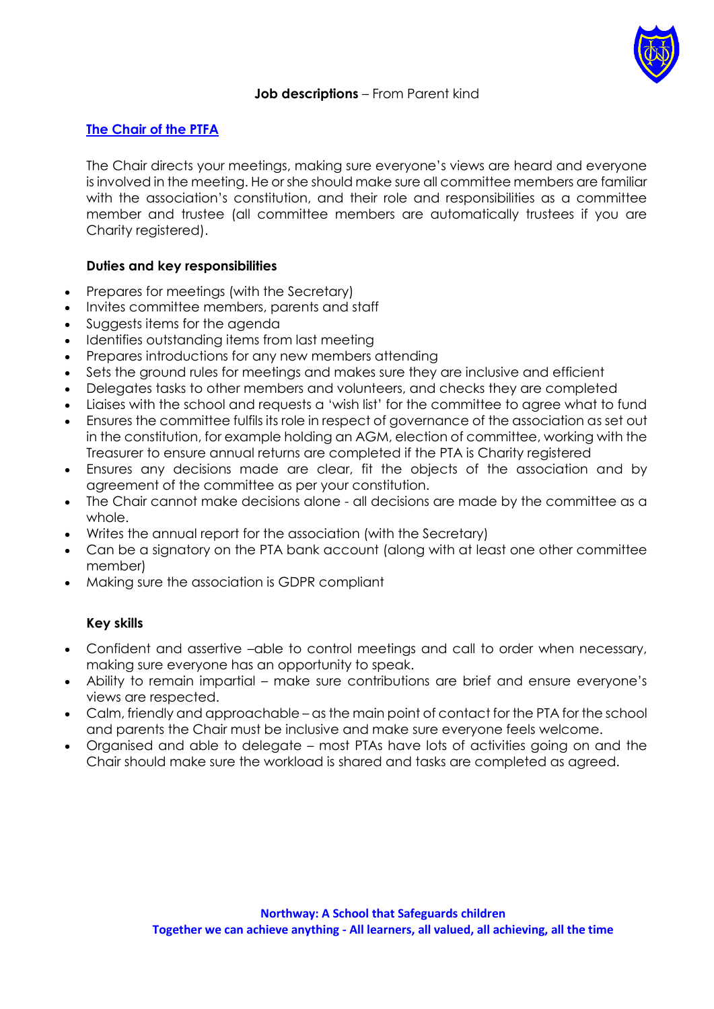

## **Job descriptions** – From Parent kind

## **The Chair of the PTFA**

The Chair directs your meetings, making sure everyone's views are heard and everyone is involved in the meeting. He or she should make sure all committee members are familiar with the association's constitution, and their role and responsibilities as a committee member and trustee (all committee members are automatically trustees if you are Charity registered).

### **Duties and key responsibilities**

- Prepares for meetings (with the Secretary)
- Invites committee members, parents and staff
- Suggests items for the agenda
- Identifies outstanding items from last meeting
- Prepares introductions for any new members attending
- Sets the ground rules for meetings and makes sure they are inclusive and efficient
- Delegates tasks to other members and volunteers, and checks they are completed
- Liaises with the school and requests a 'wish list' for the committee to agree what to fund
- Ensures the committee fulfils its role in respect of governance of the association as set out in the constitution, for example holding an AGM, election of committee, working with the Treasurer to ensure annual returns are completed if the PTA is Charity registered
- Ensures any decisions made are clear, fit the objects of the association and by agreement of the committee as per your constitution.
- The Chair cannot make decisions alone all decisions are made by the committee as a whole.
- Writes the annual report for the association (with the Secretary)
- Can be a signatory on the PTA bank account (along with at least one other committee member)
- Making sure the association is GDPR compliant

#### **Key skills**

- Confident and assertive –able to control meetings and call to order when necessary, making sure everyone has an opportunity to speak.
- Ability to remain impartial make sure contributions are brief and ensure everyone's views are respected.
- Calm, friendly and approachable as the main point of contact for the PTA for the school and parents the Chair must be inclusive and make sure everyone feels welcome.
- Organised and able to delegate most PTAs have lots of activities going on and the Chair should make sure the workload is shared and tasks are completed as agreed.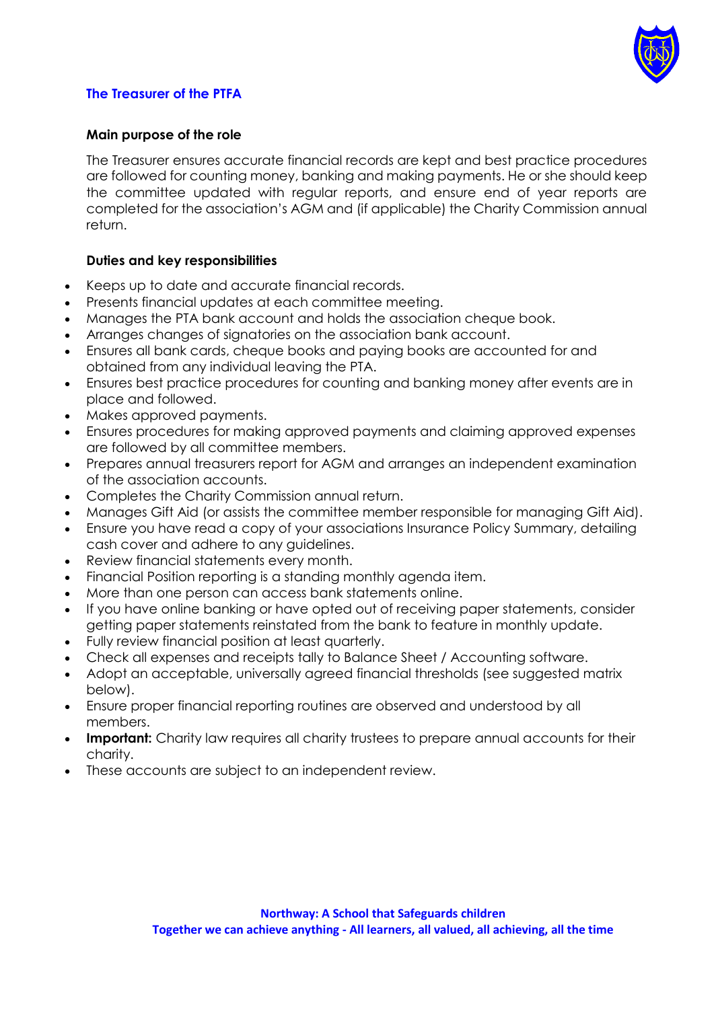

## **The Treasurer of the PTFA**

## **Main purpose of the role**

The Treasurer ensures accurate financial records are kept and best practice procedures are followed for counting money, banking and making payments. He or she should keep the committee updated with regular reports, and ensure end of year reports are completed for the association's AGM and (if applicable) the Charity Commission annual return.

## **Duties and key responsibilities**

- Keeps up to date and accurate financial records.
- Presents financial updates at each committee meeting.
- Manages the PTA bank account and holds the association cheque book.
- Arranges changes of signatories on the association bank account.
- Ensures all bank cards, cheque books and paying books are accounted for and obtained from any individual leaving the PTA.
- Ensures best practice procedures for counting and banking money after events are in place and followed.
- Makes approved payments.
- Ensures procedures for making approved payments and claiming approved expenses are followed by all committee members.
- Prepares annual treasurers report for AGM and arranges an independent examination of the association accounts.
- Completes the Charity Commission annual return.
- Manages Gift Aid (or assists the committee member responsible for managing Gift Aid).
- Ensure you have read a copy of your associations Insurance Policy Summary, detailing cash cover and adhere to any guidelines.
- Review financial statements every month.
- Financial Position reporting is a standing monthly agenda item.
- More than one person can access bank statements online.
- If you have online banking or have opted out of receiving paper statements, consider getting paper statements reinstated from the bank to feature in monthly update.
- Fully review financial position at least quarterly.
- Check all expenses and receipts tally to Balance Sheet / Accounting software.
- Adopt an acceptable, universally agreed financial thresholds (see suggested matrix below).
- Ensure proper financial reporting routines are observed and understood by all members.
- **Important:** Charity law requires all charity trustees to prepare annual accounts for their charity.
- These accounts are subject to an independent review.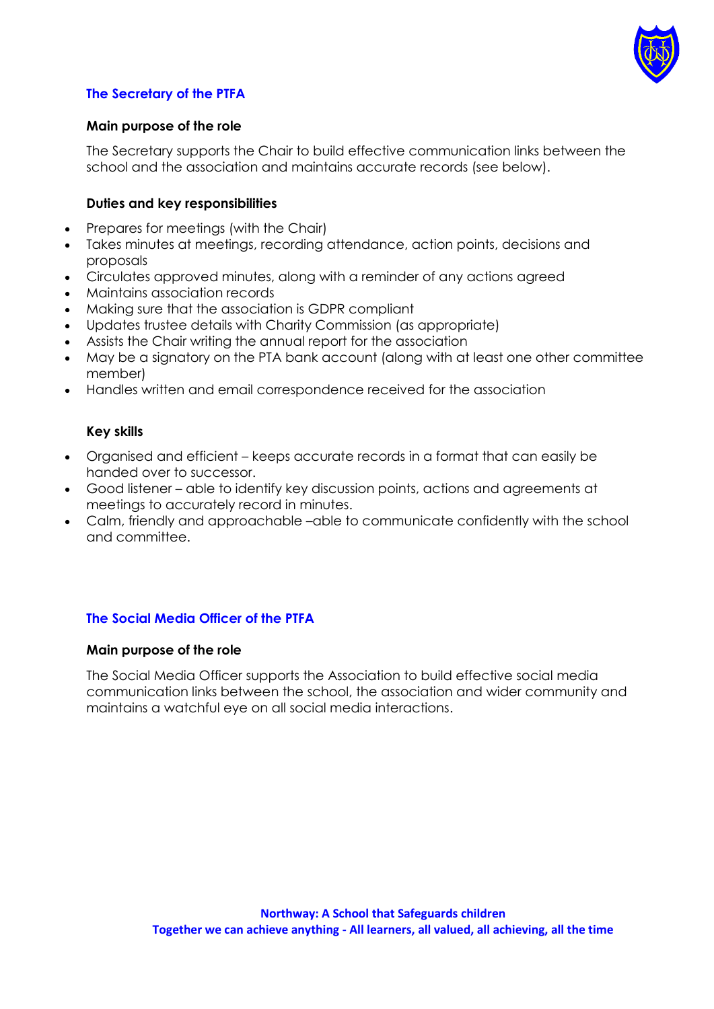

## **The Secretary of the PTFA**

## **Main purpose of the role**

The Secretary supports the Chair to build effective communication links between the school and the association and maintains accurate records (see below).

#### **Duties and key responsibilities**

- Prepares for meetings (with the Chair)
- Takes minutes at meetings, recording attendance, action points, decisions and proposals
- Circulates approved minutes, along with a reminder of any actions agreed
- Maintains association records
- Making sure that the association is GDPR compliant
- Updates trustee details with Charity Commission (as appropriate)
- Assists the Chair writing the annual report for the association
- May be a signatory on the PTA bank account (along with at least one other committee member)
- Handles written and email correspondence received for the association

## **Key skills**

- Organised and efficient keeps accurate records in a format that can easily be handed over to successor.
- Good listener able to identify key discussion points, actions and agreements at meetings to accurately record in minutes.
- Calm, friendly and approachable –able to communicate confidently with the school and committee.

## **The Social Media Officer of the PTFA**

#### **Main purpose of the role**

The Social Media Officer supports the Association to build effective social media communication links between the school, the association and wider community and maintains a watchful eye on all social media interactions.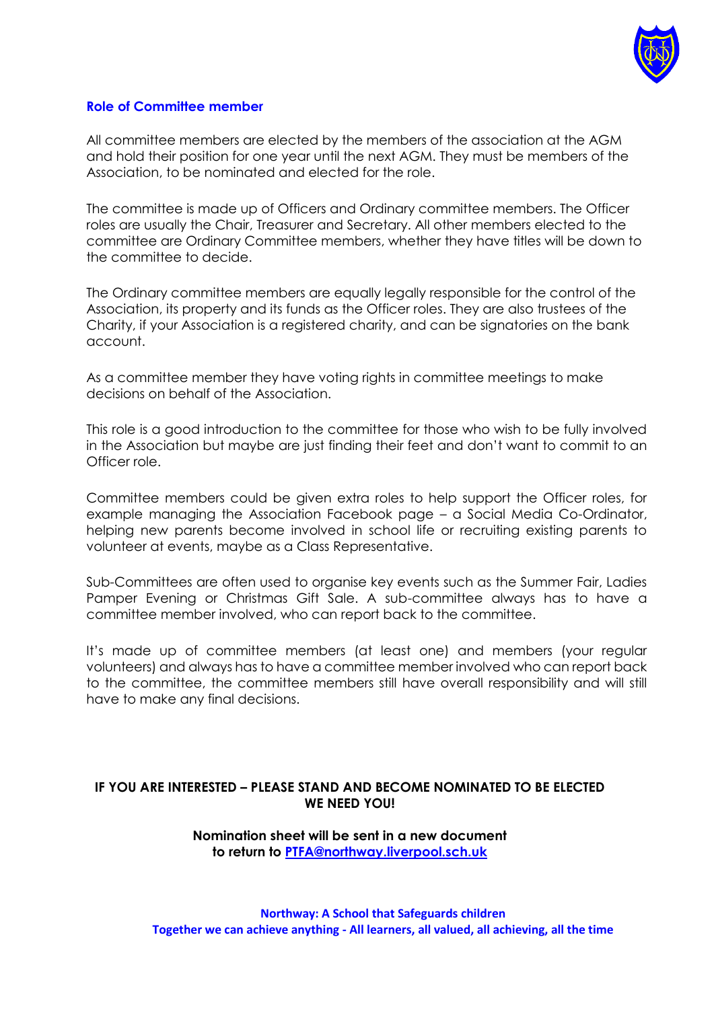

### **Role of Committee member**

All committee members are elected by the members of the association at the AGM and hold their position for one year until the next AGM. They must be members of the Association, to be nominated and elected for the role.

The committee is made up of Officers and Ordinary committee members. The Officer roles are usually the Chair, Treasurer and Secretary. All other members elected to the committee are Ordinary Committee members, whether they have titles will be down to the committee to decide.

The Ordinary committee members are equally legally responsible for the control of the Association, its property and its funds as the Officer roles. They are also trustees of the Charity, if your Association is a registered charity, and can be signatories on the bank account.

As a committee member they have voting rights in committee meetings to make decisions on behalf of the Association.

This role is a good introduction to the committee for those who wish to be fully involved in the Association but maybe are just finding their feet and don't want to commit to an Officer role.

Committee members could be given extra roles to help support the Officer roles, for example managing the Association Facebook page – a Social Media Co-Ordinator, helping new parents become involved in school life or recruiting existing parents to volunteer at events, maybe as a Class Representative.

Sub-Committees are often used to organise key events such as the Summer Fair, Ladies Pamper Evening or Christmas Gift Sale. A sub-committee always has to have a committee member involved, who can report back to the committee.

It's made up of committee members (at least one) and members (your regular volunteers) and always has to have a committee member involved who can report back to the committee, the committee members still have overall responsibility and will still have to make any final decisions.

### **IF YOU ARE INTERESTED – PLEASE STAND AND BECOME NOMINATED TO BE ELECTED WE NEED YOU!**

**Nomination sheet will be sent in a new document to return to [PTFA@northway.liverpool.sch.uk](mailto:PTFA@northway.liverpool.sch.uk)**